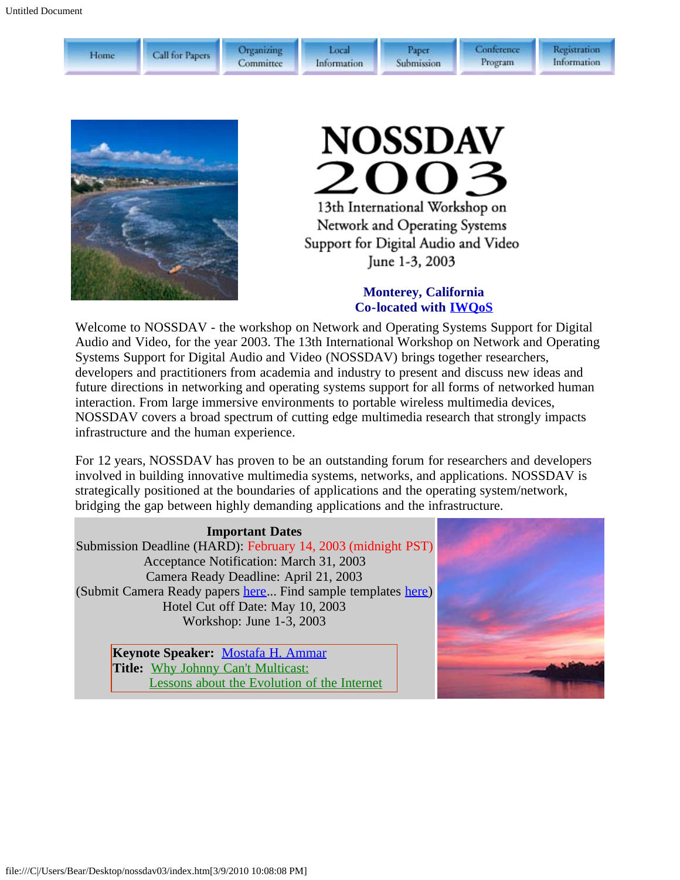| Home | Call for Papers | Organizing<br>Committee | Local<br>Information | Paper<br>Submission | Conference<br>Program |
|------|-----------------|-------------------------|----------------------|---------------------|-----------------------|
|------|-----------------|-------------------------|----------------------|---------------------|-----------------------|



# **NOSSDAV** 2003 13th International Workshop on

Network and Operating Systems Support for Digital Audio and Video June 1-3, 2003

#### **Monterey, California Co-located with [IWQoS](javascript:if(confirm()**

Welcome to NOSSDAV - the workshop on Network and Operating Systems Support for Digital Audio and Video, for the year 2003. The 13th International Workshop on Network and Operating Systems Support for Digital Audio and Video (NOSSDAV) brings together researchers, developers and practitioners from academia and industry to present and discuss new ideas and future directions in networking and operating systems support for all forms of networked human interaction. From large immersive environments to portable wireless multimedia devices, NOSSDAV covers a broad spectrum of cutting edge multimedia research that strongly impacts infrastructure and the human experience.

For 12 years, NOSSDAV has proven to be an outstanding forum for researchers and developers involved in building innovative multimedia systems, networks, and applications. NOSSDAV is strategically positioned at the boundaries of applications and the operating system/network, bridging the gap between highly demanding applications and the infrastructure.

#### **Important Dates**

Submission Deadline (HARD): February 14, 2003 (midnight PST) Acceptance Notification: March 31, 2003 Camera Ready Deadline: April 21, 2003 (Submit Camera Ready papers [here](javascript:if(confirm()... Find sample templates [here\)](javascript:if(confirm() Hotel Cut off Date: May 10, 2003 Workshop: June 1-3, 2003

> **Keynote Speaker:** [Mostafa H. Ammar](javascript:if(confirm() **Title:** [Why Johnny Can't Multicast:](#page-10-0) [Lessons about the Evolution of the Internet](#page-10-0)



Registration Information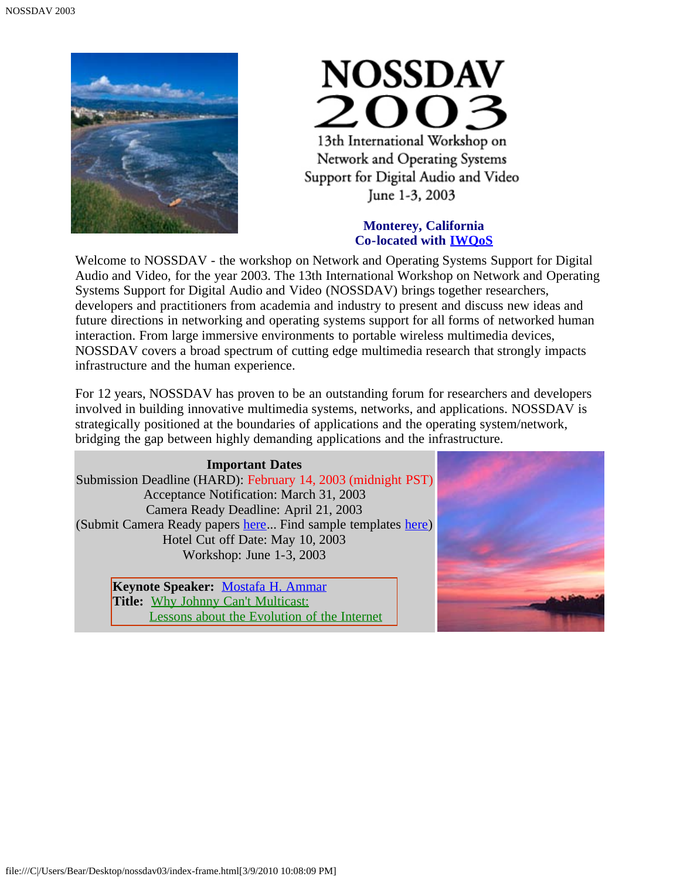



#### **Monterey, California Co-located with [IWQoS](javascript:if(confirm()**

Welcome to NOSSDAV - the workshop on Network and Operating Systems Support for Digital Audio and Video, for the year 2003. The 13th International Workshop on Network and Operating Systems Support for Digital Audio and Video (NOSSDAV) brings together researchers, developers and practitioners from academia and industry to present and discuss new ideas and future directions in networking and operating systems support for all forms of networked human interaction. From large immersive environments to portable wireless multimedia devices, NOSSDAV covers a broad spectrum of cutting edge multimedia research that strongly impacts infrastructure and the human experience.

For 12 years, NOSSDAV has proven to be an outstanding forum for researchers and developers involved in building innovative multimedia systems, networks, and applications. NOSSDAV is strategically positioned at the boundaries of applications and the operating system/network, bridging the gap between highly demanding applications and the infrastructure.

**Important Dates** Submission Deadline (HARD): February 14, 2003 (midnight PST) Acceptance Notification: March 31, 2003 Camera Ready Deadline: April 21, 2003 (Submit Camera Ready papers [here](javascript:if(confirm()... Find sample templates [here\)](javascript:if(confirm() Hotel Cut off Date: May 10, 2003 Workshop: June 1-3, 2003

> **Keynote Speaker:** [Mostafa H. Ammar](javascript:if(confirm() Title: [Why Johnny Can't Multicast:](#page-10-0) [Lessons about the Evolution of the Internet](#page-10-0)

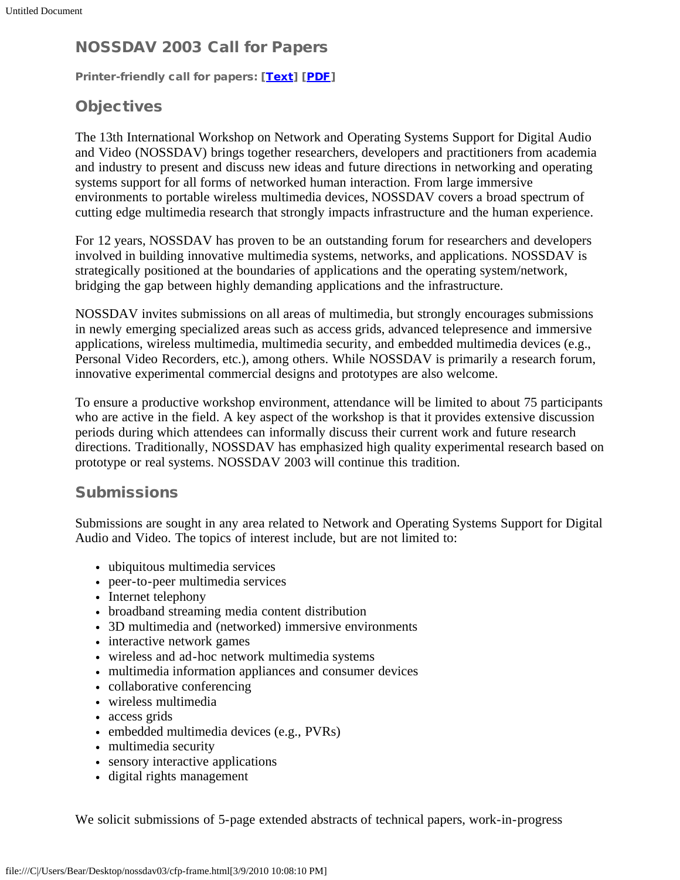# NOSSDAV 2003 Call for Papers

Printer-friendly call for papers: [[Text\]](#page-11-0) [[PDF](#page-12-0)]

# **Objectives**

The 13th International Workshop on Network and Operating Systems Support for Digital Audio and Video (NOSSDAV) brings together researchers, developers and practitioners from academia and industry to present and discuss new ideas and future directions in networking and operating systems support for all forms of networked human interaction. From large immersive environments to portable wireless multimedia devices, NOSSDAV covers a broad spectrum of cutting edge multimedia research that strongly impacts infrastructure and the human experience.

For 12 years, NOSSDAV has proven to be an outstanding forum for researchers and developers involved in building innovative multimedia systems, networks, and applications. NOSSDAV is strategically positioned at the boundaries of applications and the operating system/network, bridging the gap between highly demanding applications and the infrastructure.

NOSSDAV invites submissions on all areas of multimedia, but strongly encourages submissions in newly emerging specialized areas such as access grids, advanced telepresence and immersive applications, wireless multimedia, multimedia security, and embedded multimedia devices (e.g., Personal Video Recorders, etc.), among others. While NOSSDAV is primarily a research forum, innovative experimental commercial designs and prototypes are also welcome.

To ensure a productive workshop environment, attendance will be limited to about 75 participants who are active in the field. A key aspect of the workshop is that it provides extensive discussion periods during which attendees can informally discuss their current work and future research directions. Traditionally, NOSSDAV has emphasized high quality experimental research based on prototype or real systems. NOSSDAV 2003 will continue this tradition.

# **Submissions**

Submissions are sought in any area related to Network and Operating Systems Support for Digital Audio and Video. The topics of interest include, but are not limited to:

- ubiquitous multimedia services
- peer-to-peer multimedia services
- Internet telephony
- broadband streaming media content distribution
- 3D multimedia and (networked) immersive environments
- interactive network games
- wireless and ad-hoc network multimedia systems
- multimedia information appliances and consumer devices
- collaborative conferencing
- wireless multimedia
- access grids
- embedded multimedia devices (e.g., PVRs)
- multimedia security
- sensory interactive applications
- digital rights management

We solicit submissions of 5-page extended abstracts of technical papers, work-in-progress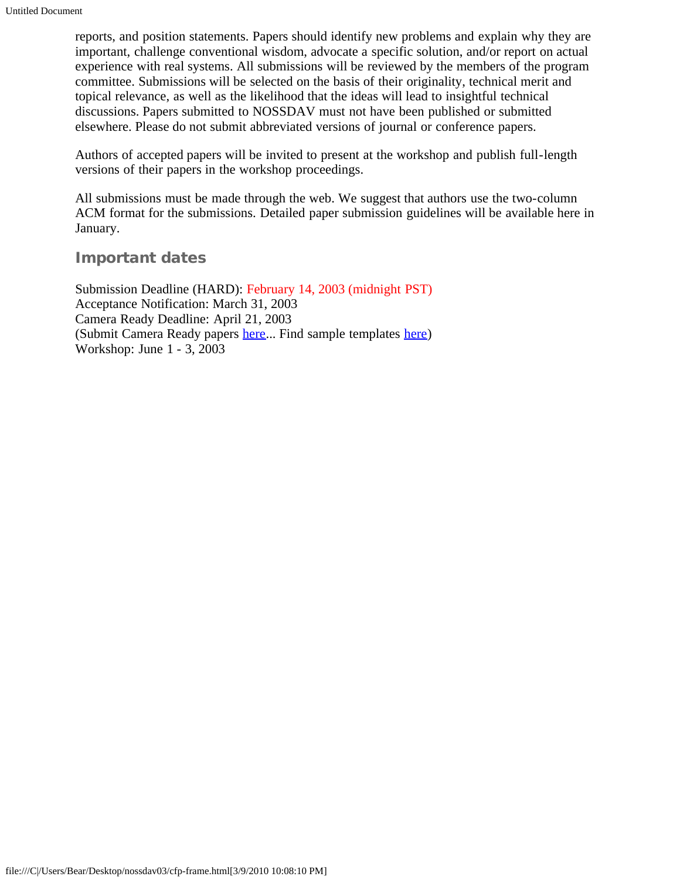reports, and position statements. Papers should identify new problems and explain why they are important, challenge conventional wisdom, advocate a specific solution, and/or report on actual experience with real systems. All submissions will be reviewed by the members of the program committee. Submissions will be selected on the basis of their originality, technical merit and topical relevance, as well as the likelihood that the ideas will lead to insightful technical discussions. Papers submitted to NOSSDAV must not have been published or submitted elsewhere. Please do not submit abbreviated versions of journal or conference papers.

Authors of accepted papers will be invited to present at the workshop and publish full-length versions of their papers in the workshop proceedings.

All submissions must be made through the web. We suggest that authors use the two-column ACM format for the submissions. Detailed paper submission guidelines will be available here in January.

#### Important dates

Submission Deadline (HARD): February 14, 2003 (midnight PST) Acceptance Notification: March 31, 2003 Camera Ready Deadline: April 21, 2003 (Submit Camera Ready papers [here.](javascript:if(confirm().. Find sample templates [here](javascript:if(confirm()) Workshop: June 1 - 3, 2003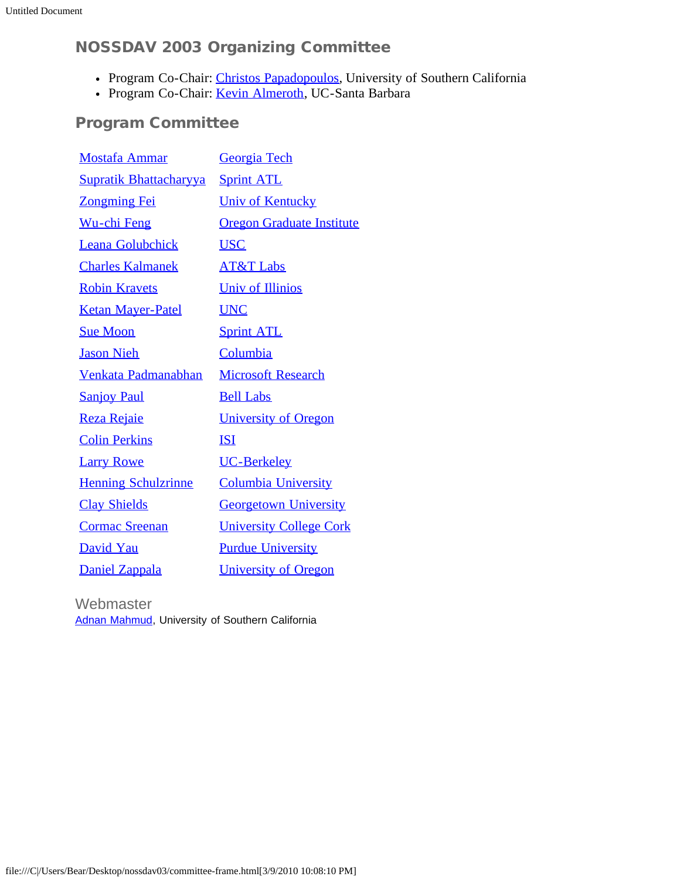# NOSSDAV 2003 Organizing Committee

- Program Co-Chair: [Christos Papadopoulos,](javascript:if(confirm() University of Southern California
- Program Co-Chair: [Kevin Almeroth,](javascript:if(confirm() UC-Santa Barbara

# Program Committee

| <b>Mostafa Ammar</b>          | Georgia Tech                     |
|-------------------------------|----------------------------------|
| <b>Supratik Bhattacharyya</b> | <b>Sprint ATL</b>                |
| <b>Zongming Fei</b>           | <b>Univ of Kentucky</b>          |
| <u>Wu-chi Feng</u>            | <b>Oregon Graduate Institute</b> |
| <b>Leana Golubchick</b>       | <b>USC</b>                       |
| <b>Charles Kalmanek</b>       | <b>AT&amp;T Labs</b>             |
| <b>Robin Kravets</b>          | <b>Univ of Illinios</b>          |
| <b>Ketan Mayer-Patel</b>      | <b>UNC</b>                       |
| <b>Sue Moon</b>               | <b>Sprint ATL</b>                |
| <b>Jason Nieh</b>             | Columbia                         |
| <b>Venkata Padmanabhan</b>    | <b>Microsoft Research</b>        |
| <b>Sanjoy Paul</b>            | <b>Bell Labs</b>                 |
| Reza Rejaie                   | <b>University of Oregon</b>      |
| <b>Colin Perkins</b>          | <b>ISI</b>                       |
| <b>Larry Rowe</b>             | UC-Berkeley                      |
| <b>Henning Schulzrinne</b>    | <b>Columbia University</b>       |
| <b>Clay Shields</b>           | <b>Georgetown University</b>     |
| <b>Cormac Sreenan</b>         | <b>University College Cork</b>   |
| David Yau                     | <b>Purdue University</b>         |
| Daniel Zappala                | <b>University of Oregon</b>      |

**Webmaster** [Adnan Mahmud,](mailto:mahmud@usc.edu) University of Southern California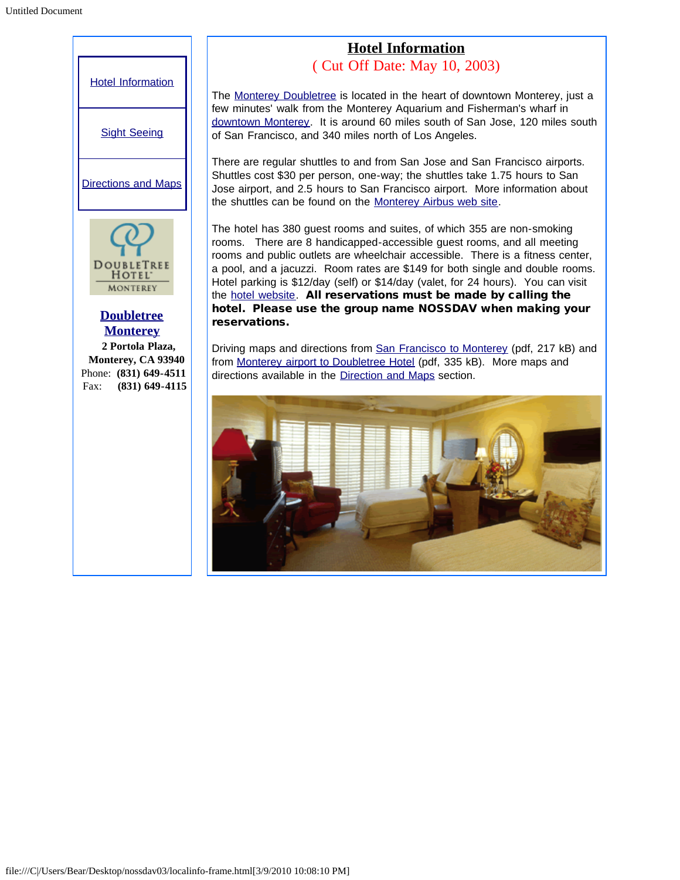<span id="page-5-0"></span>

## **Hotel Information**

( Cut Off Date: May 10, 2003)

The [Monterey Doubletree](javascript:if(confirm() is located in the heart of downtown Monterey, just a few minutes' walk from the Monterey Aquarium and Fisherman's wharf in [downtown Monterey.](javascript:if(confirm() It is around 60 miles south of San Jose, 120 miles south of San Francisco, and 340 miles north of Los Angeles.

There are regular shuttles to and from San Jose and San Francisco airports. Shuttles cost \$30 per person, one-way; the shuttles take 1.75 hours to San Jose airport, and 2.5 hours to San Francisco airport. More information about the shuttles can be found on the [Monterey Airbus web site.](javascript:if(confirm()

The hotel has 380 guest rooms and suites, of which 355 are non-smoking rooms. There are 8 handicapped-accessible guest rooms, and all meeting rooms and public outlets are wheelchair accessible. There is a fitness center, a pool, and a jacuzzi. Room rates are \$149 for both single and double rooms. Hotel parking is \$12/day (self) or \$14/day (valet, for 24 hours). You can visit the [hotel website.](javascript:if(confirm() All reservations must be made by calling the hotel. Please use the group name NOSSDAV when making your reservations.

Driving maps and directions from [San Francisco to Monterey](javascript:if(confirm() (pdf, 217 kB) and from [Monterey airport to Doubletree Hotel](javascript:if(confirm() (pdf, 335 kB). More maps and directions available in the [Direction and Maps](#page-14-0) section.

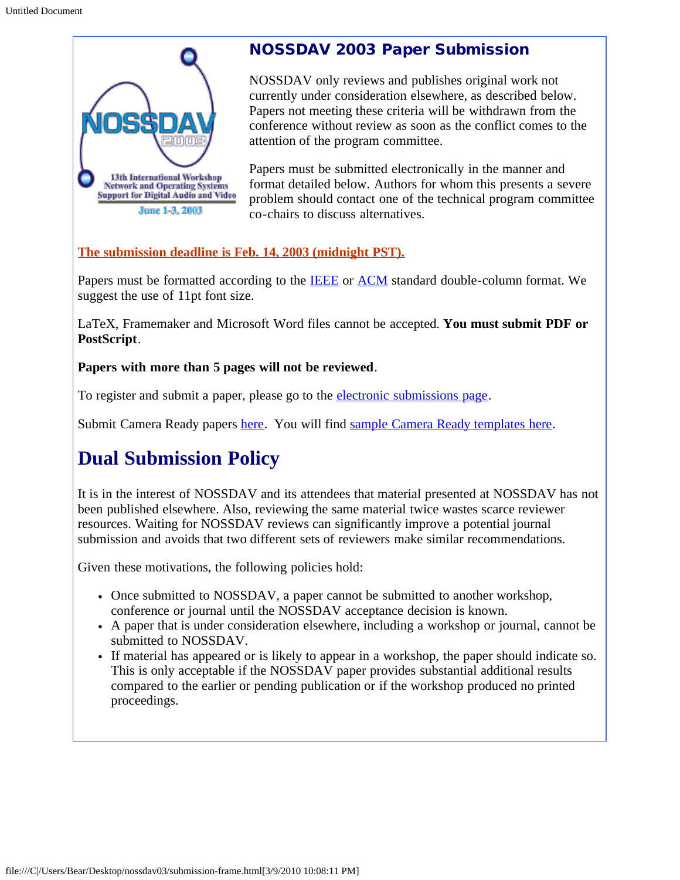

# NOSSDAV 2003 Paper Submission

NOSSDAV only reviews and publishes original work not currently under consideration elsewhere, as described below. Papers not meeting these criteria will be withdrawn from the conference without review as soon as the conflict comes to the attention of the program committee.

Papers must be submitted electronically in the manner and format detailed below. Authors for whom this presents a severe problem should contact one of the technical program committee co-chairs to discuss alternatives.

#### **The submission deadline is Feb. 14, 2003 (midnight PST).**

Papers must be formatted according to the **IEEE** or **ACM** standard double-column format. We suggest the use of 11pt font size.

LaTeX, Framemaker and Microsoft Word files cannot be accepted. **You must submit PDF or PostScript**.

#### **Papers with more than 5 pages will not be reviewed**.

To register and submit a paper, please go to the [electronic submissions page.](javascript:if(confirm()

Submit Camera Ready papers [here](javascript:if(confirm(). You will find [sample Camera Ready templates here](javascript:if(confirm().

# **Dual Submission Policy**

It is in the interest of NOSSDAV and its attendees that material presented at NOSSDAV has not been published elsewhere. Also, reviewing the same material twice wastes scarce reviewer resources. Waiting for NOSSDAV reviews can significantly improve a potential journal submission and avoids that two different sets of reviewers make similar recommendations.

Given these motivations, the following policies hold:

- Once submitted to NOSSDAV, a paper cannot be submitted to another workshop, conference or journal until the NOSSDAV acceptance decision is known.
- A paper that is under consideration elsewhere, including a workshop or journal, cannot be submitted to NOSSDAV.
- If material has appeared or is likely to appear in a workshop, the paper should indicate so. This is only acceptable if the NOSSDAV paper provides substantial additional results compared to the earlier or pending publication or if the workshop produced no printed proceedings.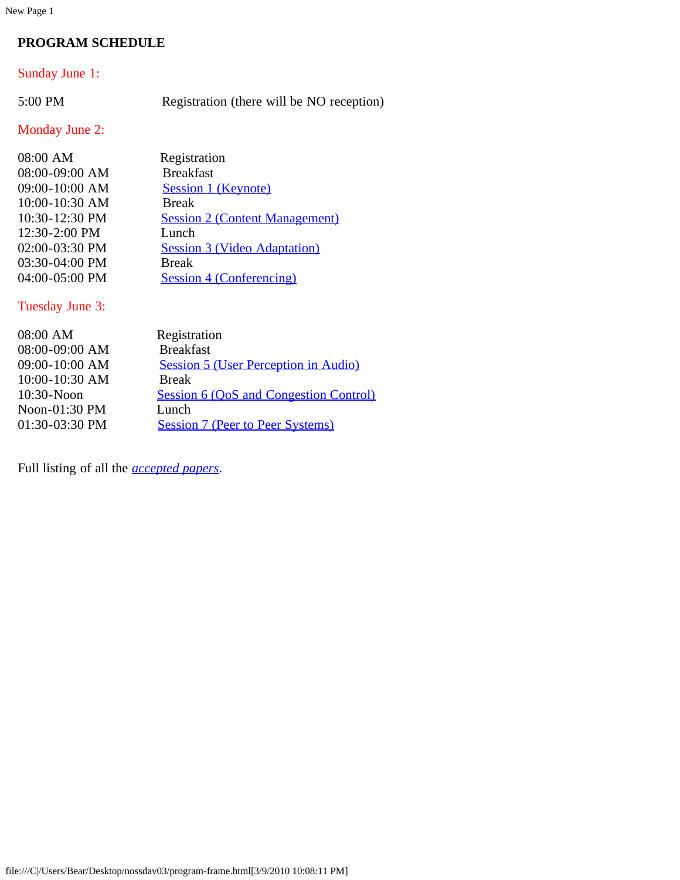New Page 1

#### **PROGRAM SCHEDULE**

#### Sunday June 1:

5:00 PM Registration (there will be NO reception)

#### Monday June 2:

| 08:00 AM       | Registration                          |
|----------------|---------------------------------------|
| 08:00-09:00 AM | <b>Breakfast</b>                      |
| 09:00-10:00 AM | Session 1 (Keynote)                   |
| 10:00-10:30 AM | <b>Break</b>                          |
| 10:30-12:30 PM | <b>Session 2 (Content Management)</b> |
| 12:30-2:00 PM  | Lunch                                 |
| 02:00-03:30 PM | <b>Session 3 (Video Adaptation)</b>   |
| 03:30-04:00 PM | <b>Break</b>                          |
| 04:00-05:00 PM | <b>Session 4 (Conferencing)</b>       |

#### Tuesday June 3:

| Registration                                  |
|-----------------------------------------------|
| <b>Breakfast</b>                              |
| Session 5 (User Perception in Audio)          |
| <b>Break</b>                                  |
| <b>Session 6 (OoS and Congestion Control)</b> |
| Lunch                                         |
| <b>Session 7 (Peer to Peer Systems)</b>       |
|                                               |

Full listing of all the *[accepted papers.](#page-15-0)*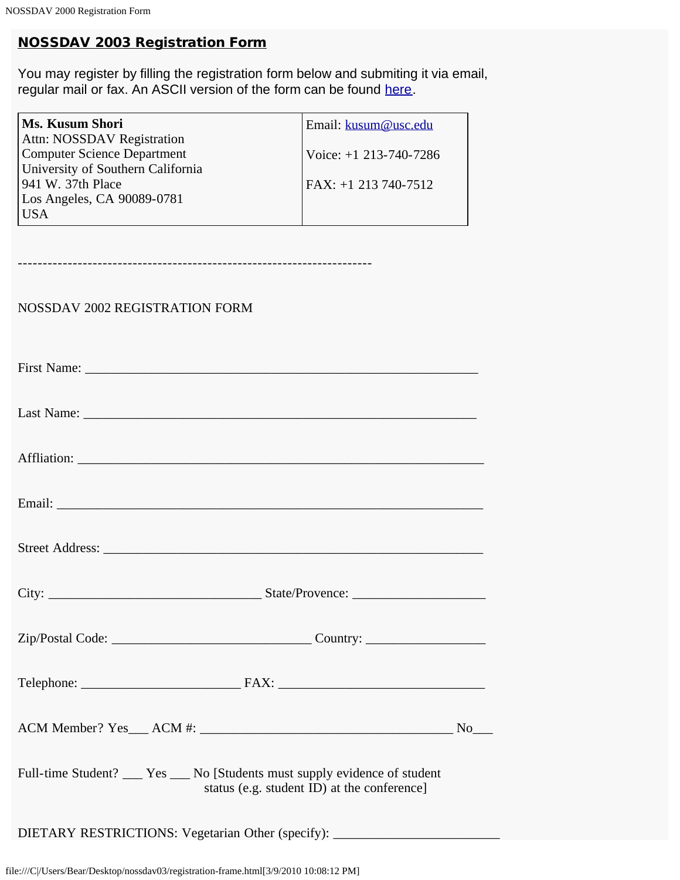## NOSSDAV 2003 Registration Form

You may register by filling the registration form below and submiting it via email, regular mail or fax. An ASCII version of the form can be found [here.](#page-17-0)

| Ms. Kusum Shori                   | Email: kusum@usc.edu     |
|-----------------------------------|--------------------------|
| <b>Attn: NOSSDAV Registration</b> |                          |
| Computer Science Department       | Voice: $+1$ 213-740-7286 |
| University of Southern California |                          |
| $941$ W. 37th Place               | FAX: +1 213 740-7512     |
| Los Angeles, CA 90089-0781        |                          |
| <b>USA</b>                        |                          |

-----------------------------------------------------------------------

#### NOSSDAV 2002 REGISTRATION FORM

| Full-time Student? __ Yes __ No [Students must supply evidence of student<br>status (e.g. student ID) at the conference] |  |
|--------------------------------------------------------------------------------------------------------------------------|--|
| DIETARY RESTRICTIONS: Vegetarian Other (specify): ______________________________                                         |  |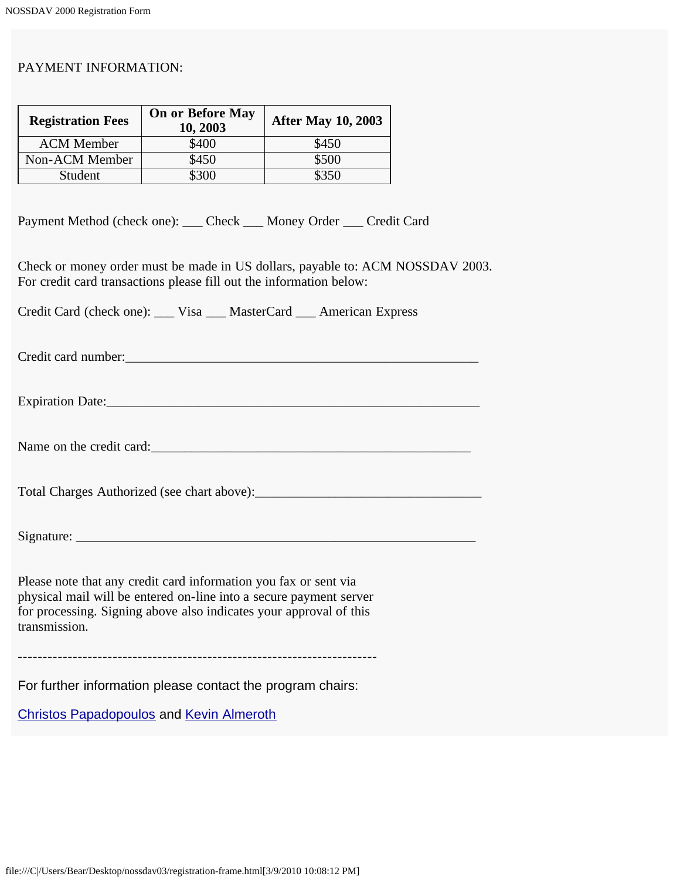#### PAYMENT INFORMATION:

| <b>Registration Fees</b> | <b>On or Before May</b><br>10, 2003 | <b>After May 10, 2003</b> |
|--------------------------|-------------------------------------|---------------------------|
| <b>ACM</b> Member        | \$400                               | \$450                     |
| Non-ACM Member           | \$450                               | \$500                     |
| Student                  | \$300                               | \$350                     |

Payment Method (check one): \_\_\_ Check \_\_\_ Money Order \_\_\_ Credit Card

Check or money order must be made in US dollars, payable to: ACM NOSSDAV 2003. For credit card transactions please fill out the information below:

Credit Card (check one): \_\_\_ Visa \_\_\_ MasterCard \_\_\_ American Express

Credit card number:\_\_\_\_\_\_\_\_\_\_\_\_\_\_\_\_\_\_\_\_\_\_\_\_\_\_\_\_\_\_\_\_\_\_\_\_\_\_\_\_\_\_\_\_\_\_\_\_\_\_\_\_\_

Expiration Date:\_\_\_\_\_\_\_\_\_\_\_\_\_\_\_\_\_\_\_\_\_\_\_\_\_\_\_\_\_\_\_\_\_\_\_\_\_\_\_\_\_\_\_\_\_\_\_\_\_\_\_\_\_\_\_\_

Name on the credit card:

Total Charges Authorized (see chart above):\_\_\_\_\_\_\_\_\_\_\_\_\_\_\_\_\_\_\_\_\_\_\_\_\_\_\_\_\_\_\_\_\_\_

 $Signature:$ 

Please note that any credit card information you fax or sent via physical mail will be entered on-line into a secure payment server for processing. Signing above also indicates your approval of this transmission.

------------------------------------------------------------------------

For further information please contact the program chairs:

[Christos Papadopoulos](javascript:if(confirm() and [Kevin Almeroth](javascript:if(confirm()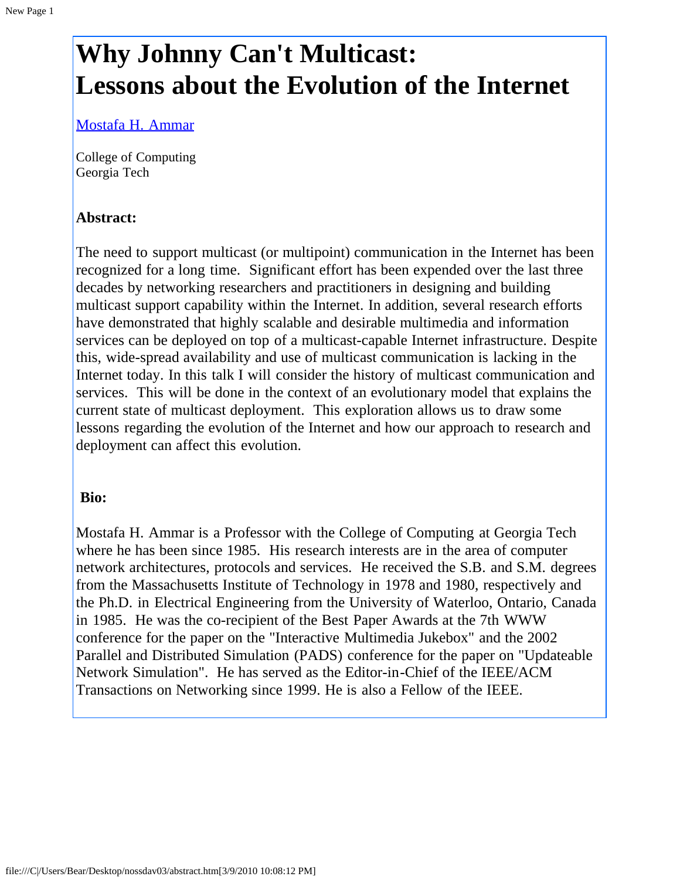# <span id="page-10-0"></span>**Why Johnny Can't Multicast: Lessons about the Evolution of the Internet**

[Mostafa H. Ammar](javascript:if(confirm()

College of Computing Georgia Tech

### **Abstract:**

The need to support multicast (or multipoint) communication in the Internet has been recognized for a long time. Significant effort has been expended over the last three decades by networking researchers and practitioners in designing and building multicast support capability within the Internet. In addition, several research efforts have demonstrated that highly scalable and desirable multimedia and information services can be deployed on top of a multicast-capable Internet infrastructure. Despite this, wide-spread availability and use of multicast communication is lacking in the Internet today. In this talk I will consider the history of multicast communication and services. This will be done in the context of an evolutionary model that explains the current state of multicast deployment. This exploration allows us to draw some lessons regarding the evolution of the Internet and how our approach to research and deployment can affect this evolution.

#### **Bio:**

Mostafa H. Ammar is a Professor with the College of Computing at Georgia Tech where he has been since 1985. His research interests are in the area of computer network architectures, protocols and services. He received the S.B. and S.M. degrees from the Massachusetts Institute of Technology in 1978 and 1980, respectively and the Ph.D. in Electrical Engineering from the University of Waterloo, Ontario, Canada in 1985. He was the co-recipient of the Best Paper Awards at the 7th WWW conference for the paper on the "Interactive Multimedia Jukebox" and the 2002 Parallel and Distributed Simulation (PADS) conference for the paper on "Updateable Network Simulation". He has served as the Editor-in-Chief of the IEEE/ACM Transactions on Networking since 1999. He is also a Fellow of the IEEE.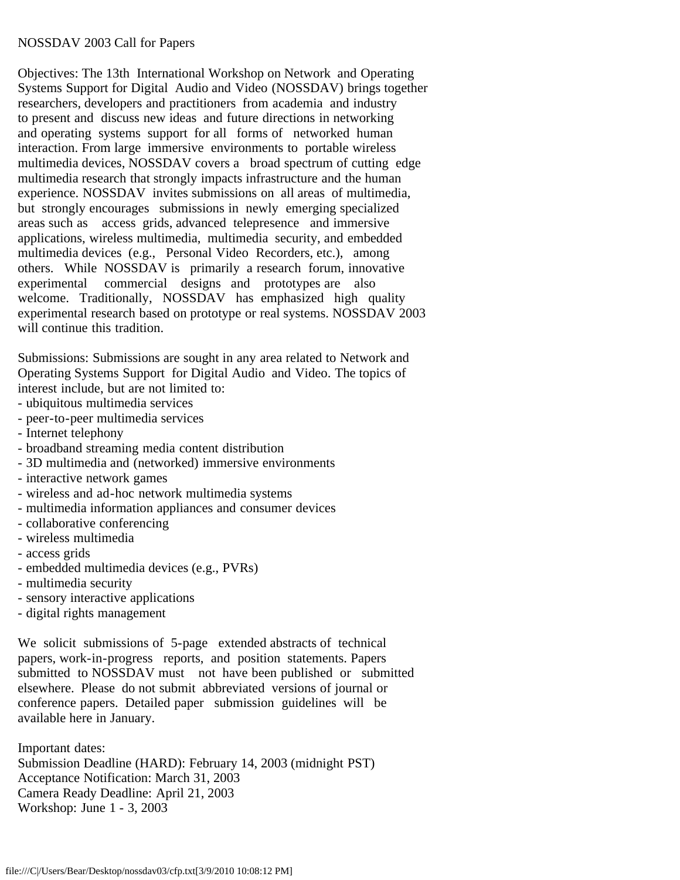#### <span id="page-11-0"></span>NOSSDAV 2003 Call for Papers

Objectives: The 13th International Workshop on Network and Operating Systems Support for Digital Audio and Video (NOSSDAV) brings together researchers, developers and practitioners from academia and industry to present and discuss new ideas and future directions in networking and operating systems support for all forms of networked human interaction. From large immersive environments to portable wireless multimedia devices, NOSSDAV covers a broad spectrum of cutting edge multimedia research that strongly impacts infrastructure and the human experience. NOSSDAV invites submissions on all areas of multimedia, but strongly encourages submissions in newly emerging specialized areas such as access grids, advanced telepresence and immersive applications, wireless multimedia, multimedia security, and embedded multimedia devices (e.g., Personal Video Recorders, etc.), among others. While NOSSDAV is primarily a research forum, innovative experimental commercial designs and prototypes are also welcome. Traditionally, NOSSDAV has emphasized high quality experimental research based on prototype or real systems. NOSSDAV 2003 will continue this tradition.

Submissions: Submissions are sought in any area related to Network and Operating Systems Support for Digital Audio and Video. The topics of interest include, but are not limited to:

- ubiquitous multimedia services
- peer-to-peer multimedia services
- Internet telephony
- broadband streaming media content distribution
- 3D multimedia and (networked) immersive environments
- interactive network games
- wireless and ad-hoc network multimedia systems
- multimedia information appliances and consumer devices
- collaborative conferencing
- wireless multimedia
- access grids
- embedded multimedia devices (e.g., PVRs)
- multimedia security
- sensory interactive applications
- digital rights management

We solicit submissions of 5-page extended abstracts of technical papers, work-in-progress reports, and position statements. Papers submitted to NOSSDAV must not have been published or submitted elsewhere. Please do not submit abbreviated versions of journal or conference papers. Detailed paper submission guidelines will be available here in January.

Important dates: Submission Deadline (HARD): February 14, 2003 (midnight PST) Acceptance Notification: March 31, 2003 Camera Ready Deadline: April 21, 2003 Workshop: June 1 - 3, 2003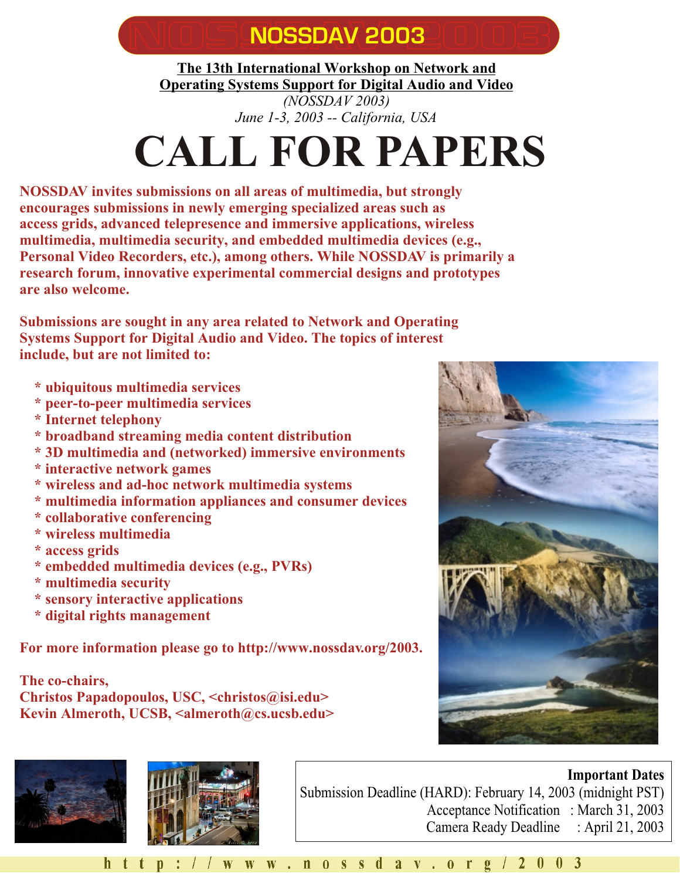# **NOSSDAV 2003**

<span id="page-12-0"></span>**The 13th International Workshop on Network and Operating Systems Support for Digital Audio and Video** *(NOSSDAV 2003)*

*June 1-3, 2003 -- California, USA*

# **CALL FOR PAPERS**

**NOSSDAV invites submissions on all areas of multimedia, but strongly encourages submissions in newly emerging specialized areas such as access grids, advanced telepresence and immersive applications, wireless multimedia, multimedia security, and embedded multimedia devices (e.g., Personal Video Recorders, etc.), among others. While NOSSDAV is primarily a research forum, innovative experimental commercial designs and prototypes are also welcome.**

**Submissions are sought in any area related to Network and Operating Systems Support for Digital Audio and Video. The topics of interest include, but are not limited to:**

- **\* ubiquitous multimedia services**
- **\* peer-to-peer multimedia services**
- **\* Internet telephony**
- **\* broadband streaming media content distribution**
- **\* 3D multimedia and (networked) immersive environments**
- **\* interactive network games**
- **\* wireless and ad-hoc network multimedia systems**
- **\* multimedia information appliances and consumer devices**
- **\* collaborative conferencing**
- **\* wireless multimedia**
- **\* access grids**
- **\* embedded multimedia devices (e.g., PVRs)**
- **\* multimedia security**
- **\* sensory interactive applications**
- **\* digital rights management**

**For more information please go to http://www.nossdav.org/2003.**

**The co-chairs, Christos Papadopoulos, USC, <christos@isi.edu> Kevin Almeroth, UCSB, <almeroth@cs.ucsb.edu>**







**Important Dates** Submission Deadline (HARD): February 14, 2003 (midnight PST) Acceptance Notification : March 31, 2003 Camera Ready Deadline : April 21, 2003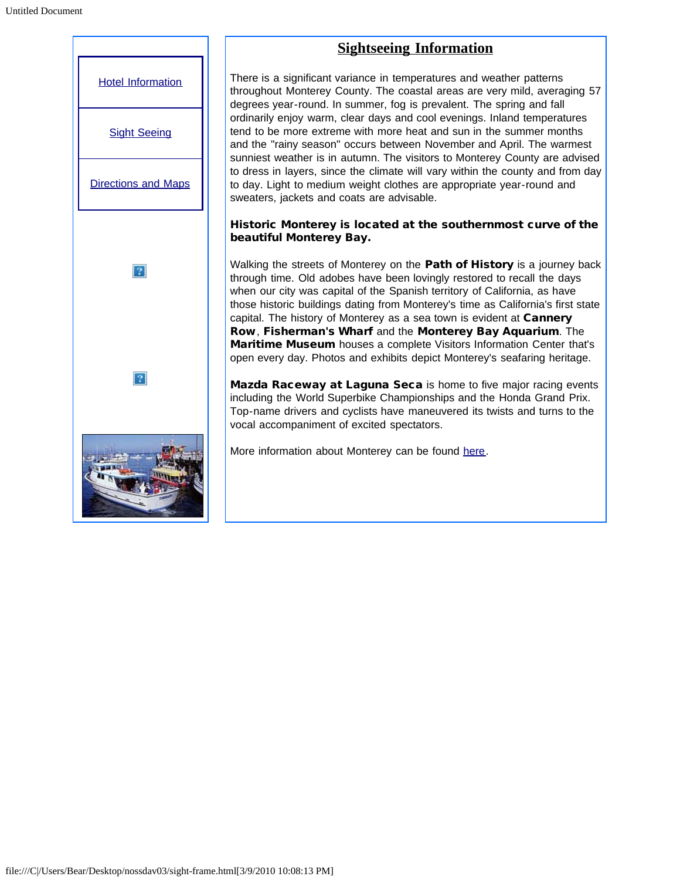<span id="page-13-0"></span>

# **Sightseeing Information**

There is a significant variance in temperatures and weather patterns throughout Monterey County. The coastal areas are very mild, averaging 57 degrees year-round. In summer, fog is prevalent. The spring and fall ordinarily enjoy warm, clear days and cool evenings. Inland temperatures tend to be more extreme with more heat and sun in the summer months and the "rainy season" occurs between November and April. The warmest sunniest weather is in autumn. The visitors to Monterey County are advised to dress in layers, since the climate will vary within the county and from day to day. Light to medium weight clothes are appropriate year-round and sweaters, jackets and coats are advisable.

#### Historic Monterey is located at the southernmost curve of the beautiful Monterey Bay.

Walking the streets of Monterey on the Path of History is a journey back through time. Old adobes have been lovingly restored to recall the days when our city was capital of the Spanish territory of California, as have those historic buildings dating from Monterey's time as California's first state capital. The history of Monterey as a sea town is evident at Cannery Row, Fisherman's Wharf and the Monterey Bay Aquarium. The Maritime Museum houses a complete Visitors Information Center that's open every day. Photos and exhibits depict Monterey's seafaring heritage.

Mazda Raceway at Laguna Seca is home to five major racing events including the World Superbike Championships and the Honda Grand Prix. Top-name drivers and cyclists have maneuvered its twists and turns to the vocal accompaniment of excited spectators.

More information about Monterey can be found [here](javascript:if(confirm().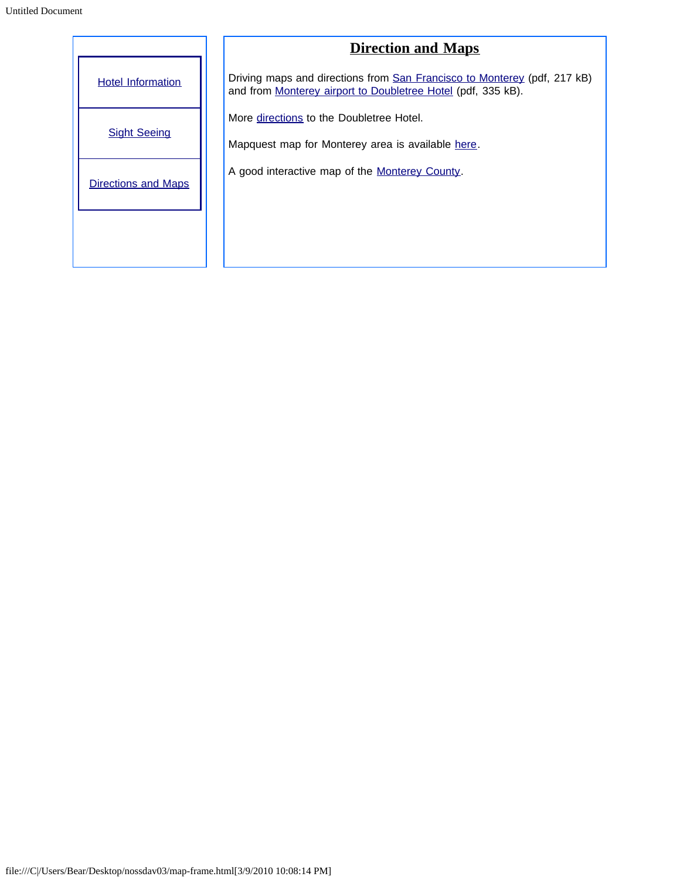<span id="page-14-0"></span>

|                            | <b>Direction and Maps</b>                                                                                                                |  |  |  |
|----------------------------|------------------------------------------------------------------------------------------------------------------------------------------|--|--|--|
| <b>Hotel Information</b>   | Driving maps and directions from San Francisco to Monterey (pdf, 217 kB)<br>and from Monterey airport to Doubletree Hotel (pdf, 335 kB). |  |  |  |
|                            | More directions to the Doubletree Hotel.                                                                                                 |  |  |  |
| <b>Sight Seeing</b>        | Mapquest map for Monterey area is available here.                                                                                        |  |  |  |
| <b>Directions and Maps</b> | A good interactive map of the Monterey County.                                                                                           |  |  |  |
|                            |                                                                                                                                          |  |  |  |
|                            |                                                                                                                                          |  |  |  |
|                            |                                                                                                                                          |  |  |  |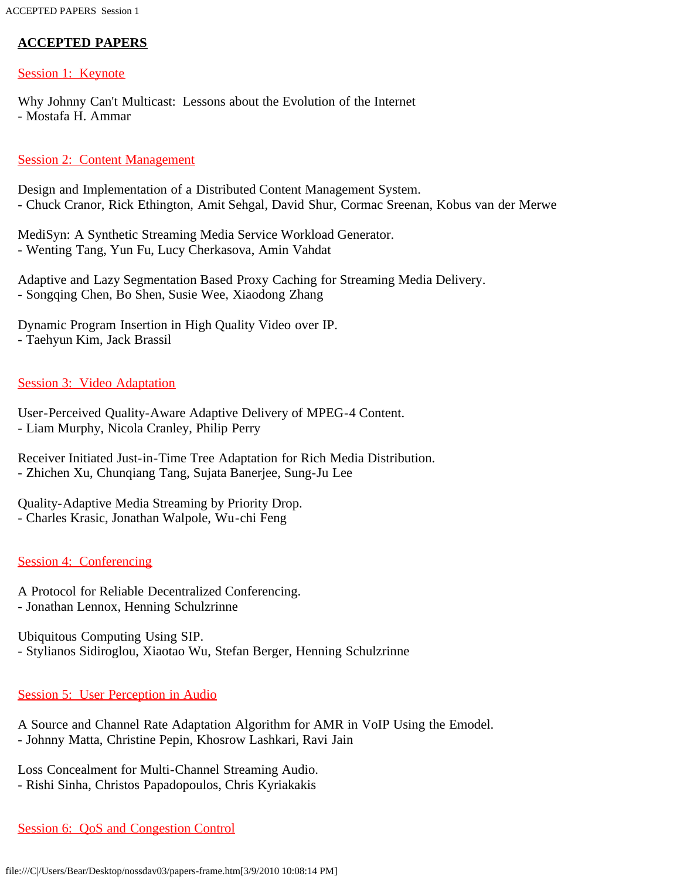#### <span id="page-15-0"></span>**ACCEPTED PAPERS**

#### Session 1: Keynote

Why Johnny Can't Multicast: Lessons about the Evolution of the Internet - Mostafa H. Ammar

#### **Session 2: Content Management**

Design and Implementation of a Distributed Content Management System. - Chuck Cranor, Rick Ethington, Amit Sehgal, David Shur, Cormac Sreenan, Kobus van der Merwe

MediSyn: A Synthetic Streaming Media Service Workload Generator. - Wenting Tang, Yun Fu, Lucy Cherkasova, Amin Vahdat

Adaptive and Lazy Segmentation Based Proxy Caching for Streaming Media Delivery. - Songqing Chen, Bo Shen, Susie Wee, Xiaodong Zhang

Dynamic Program Insertion in High Quality Video over IP. - Taehyun Kim, Jack Brassil

#### Session 3: Video Adaptation

User-Perceived Quality-Aware Adaptive Delivery of MPEG-4 Content. - Liam Murphy, Nicola Cranley, Philip Perry

Receiver Initiated Just-in-Time Tree Adaptation for Rich Media Distribution. - Zhichen Xu, Chunqiang Tang, Sujata Banerjee, Sung-Ju Lee

Quality-Adaptive Media Streaming by Priority Drop.

- Charles Krasic, Jonathan Walpole, Wu-chi Feng

#### Session 4: Conferencing

A Protocol for Reliable Decentralized Conferencing. - Jonathan Lennox, Henning Schulzrinne

Ubiquitous Computing Using SIP. - Stylianos Sidiroglou, Xiaotao Wu, Stefan Berger, Henning Schulzrinne

#### Session 5: User Perception in Audio

A Source and Channel Rate Adaptation Algorithm for AMR in VoIP Using the Emodel. - Johnny Matta, Christine Pepin, Khosrow Lashkari, Ravi Jain

Loss Concealment for Multi-Channel Streaming Audio.

- Rishi Sinha, Christos Papadopoulos, Chris Kyriakakis

#### Session 6: QoS and Congestion Control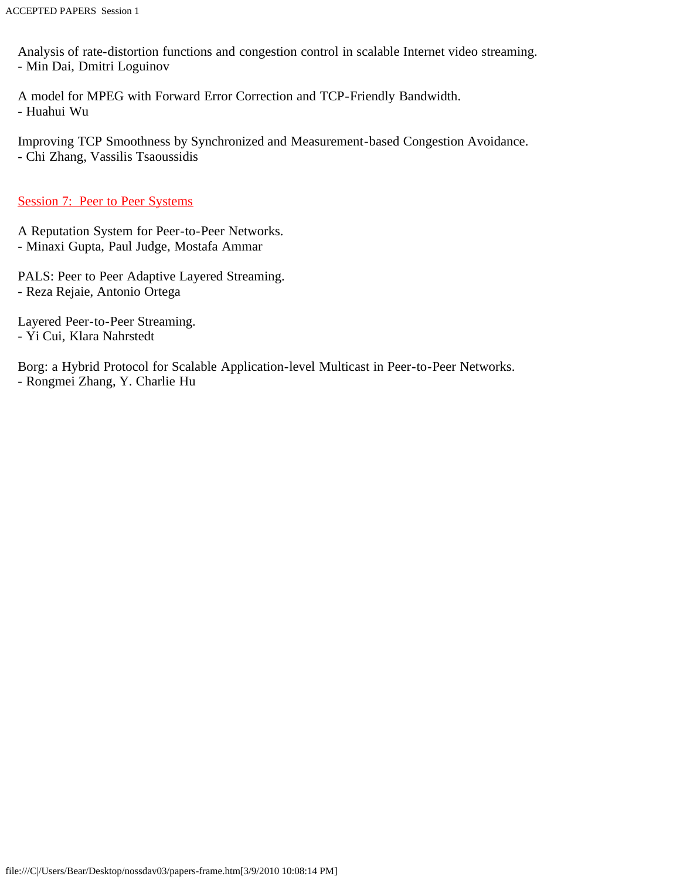Analysis of rate-distortion functions and congestion control in scalable Internet video streaming. - Min Dai, Dmitri Loguinov

A model for MPEG with Forward Error Correction and TCP-Friendly Bandwidth. - Huahui Wu

Improving TCP Smoothness by Synchronized and Measurement-based Congestion Avoidance. - Chi Zhang, Vassilis Tsaoussidis

Session 7: Peer to Peer Systems

A Reputation System for Peer-to-Peer Networks. - Minaxi Gupta, Paul Judge, Mostafa Ammar

PALS: Peer to Peer Adaptive Layered Streaming. - Reza Rejaie, Antonio Ortega

Layered Peer-to-Peer Streaming. - Yi Cui, Klara Nahrstedt

Borg: a Hybrid Protocol for Scalable Application-level Multicast in Peer-to-Peer Networks. - Rongmei Zhang, Y. Charlie Hu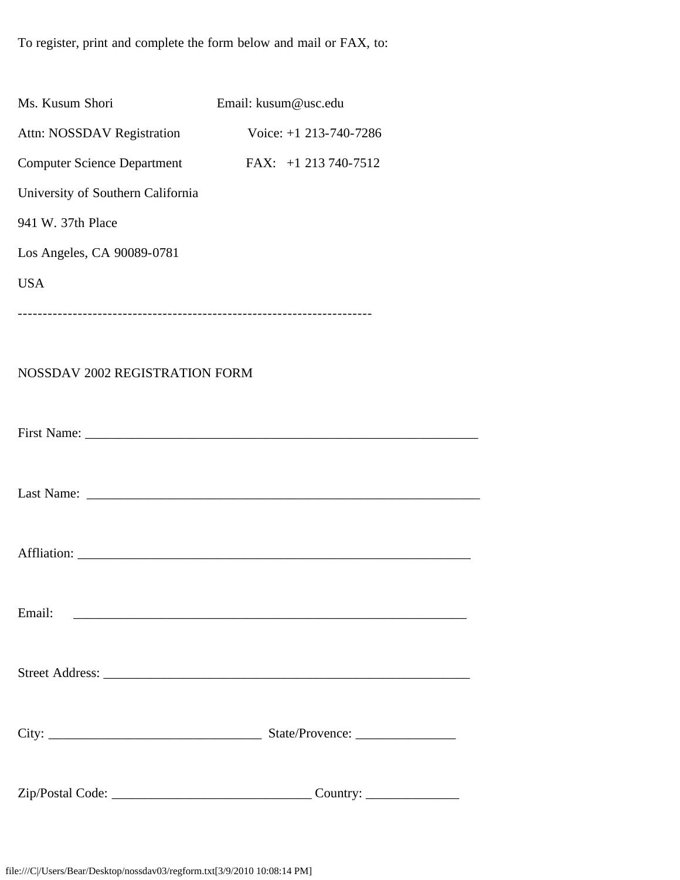<span id="page-17-0"></span>To register, print and complete the form below and mail or FAX, to:

| Ms. Kusum Shori                                                                    | Email: kusum@usc.edu     |
|------------------------------------------------------------------------------------|--------------------------|
| Attn: NOSSDAV Registration                                                         | Voice: $+1$ 213-740-7286 |
| <b>Computer Science Department</b>                                                 | FAX: $+1$ 213 740-7512   |
| University of Southern California                                                  |                          |
| 941 W. 37th Place                                                                  |                          |
| Los Angeles, CA 90089-0781                                                         |                          |
| <b>USA</b>                                                                         |                          |
|                                                                                    |                          |
|                                                                                    |                          |
| NOSSDAV 2002 REGISTRATION FORM                                                     |                          |
|                                                                                    |                          |
|                                                                                    |                          |
|                                                                                    |                          |
|                                                                                    |                          |
|                                                                                    |                          |
|                                                                                    |                          |
|                                                                                    |                          |
| Email:<br><u> 2000 - Jan James James Barnett, mensk politik fotograf (d. 1982)</u> |                          |
|                                                                                    |                          |
|                                                                                    |                          |
|                                                                                    |                          |
|                                                                                    |                          |
|                                                                                    |                          |
|                                                                                    |                          |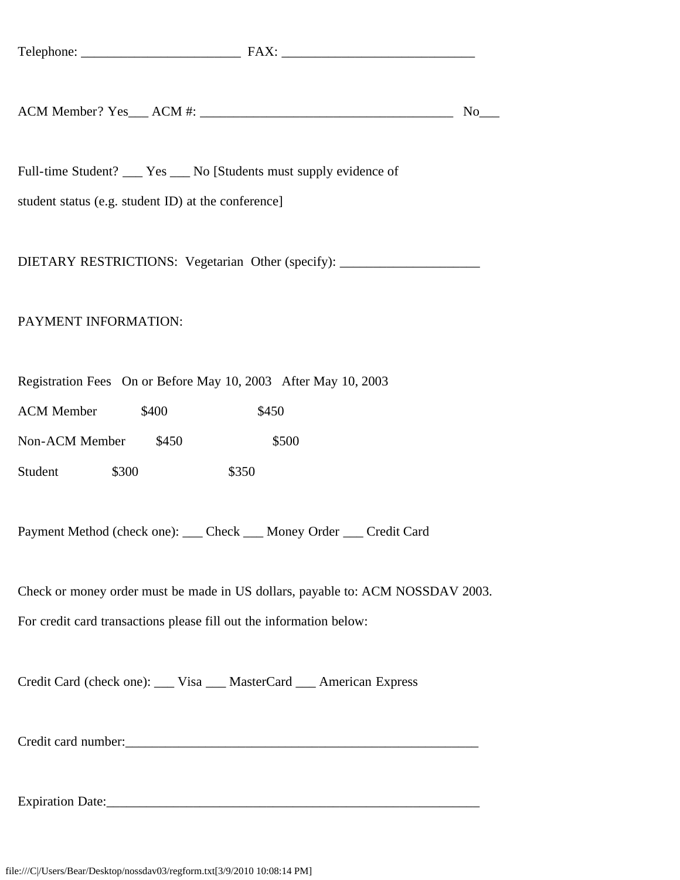| ACM M<br>$\cdots$<br>Member'<br>$\Delta C$<br>. ८১<br>________ | $\mathbf{r}$<br>NЛ |  |  |
|----------------------------------------------------------------|--------------------|--|--|
|----------------------------------------------------------------|--------------------|--|--|

Full-time Student? Yes No [Students must supply evidence of

student status (e.g. student ID) at the conference]

DIETARY RESTRICTIONS: Vegetarian Other (specify): \_\_\_\_\_\_\_\_\_\_\_\_\_\_\_\_\_\_\_\_\_\_\_\_\_\_\_\_\_\_

#### PAYMENT INFORMATION:

Registration Fees On or Before May 10, 2003 After May 10, 2003

| <b>ACM</b> Member |       | \$400 |       | \$450 |
|-------------------|-------|-------|-------|-------|
| Non-ACM Member    |       | \$450 |       | \$500 |
| Student           | \$300 |       | \$350 |       |

Payment Method (check one): \_\_\_ Check \_\_\_ Money Order \_\_\_ Credit Card

Check or money order must be made in US dollars, payable to: ACM NOSSDAV 2003.

For credit card transactions please fill out the information below:

Credit Card (check one): \_\_\_ Visa \_\_\_ MasterCard \_\_\_ American Express

Credit card number:\_\_\_\_\_\_\_\_\_\_\_\_\_\_\_\_\_\_\_\_\_\_\_\_\_\_\_\_\_\_\_\_\_\_\_\_\_\_\_\_\_\_\_\_\_\_\_\_\_\_\_\_\_

Expiration Date: